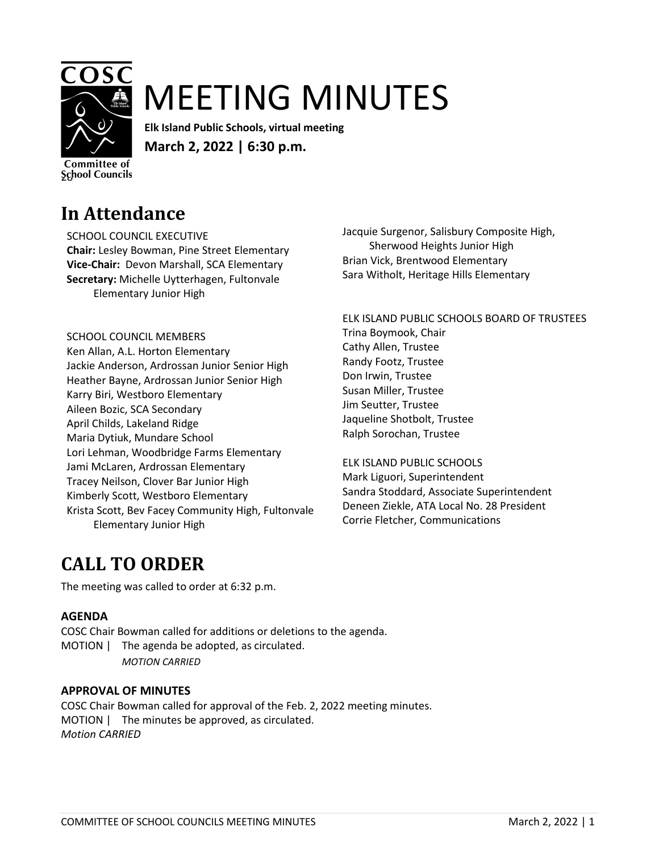

# MEETING MINUTES

**Elk Island Public Schools, virtual meeting March 2, 2022 | 6:30 p.m.**

Committee of **School Councils** 

### **In Attendance**

SCHOOL COUNCIL EXECUTIVE **Chair:** Lesley Bowman, Pine Street Elementary **Vice-Chair:** Devon Marshall, SCA Elementary **Secretary:** Michelle Uytterhagen, Fultonvale Elementary Junior High

SCHOOL COUNCIL MEMBERS Ken Allan, A.L. Horton Elementary Jackie Anderson, Ardrossan Junior Senior High Heather Bayne, Ardrossan Junior Senior High Karry Biri, Westboro Elementary Aileen Bozic, SCA Secondary April Childs, Lakeland Ridge Maria Dytiuk, Mundare School Lori Lehman, Woodbridge Farms Elementary Jami McLaren, Ardrossan Elementary Tracey Neilson, Clover Bar Junior High Kimberly Scott, Westboro Elementary Krista Scott, Bev Facey Community High, Fultonvale Elementary Junior High

Jacquie Surgenor, Salisbury Composite High, Sherwood Heights Junior High Brian Vick, Brentwood Elementary Sara Witholt, Heritage Hills Elementary

ELK ISLAND PUBLIC SCHOOLS BOARD OF TRUSTEES Trina Boymook, Chair Cathy Allen, Trustee Randy Footz, Trustee Don Irwin, Trustee Susan Miller, Trustee Jim Seutter, Trustee Jaqueline Shotbolt, Trustee Ralph Sorochan, Trustee

ELK ISLAND PUBLIC SCHOOLS Mark Liguori, Superintendent Sandra Stoddard, Associate Superintendent Deneen Ziekle, ATA Local No. 28 President Corrie Fletcher, Communications

# **CALL TO ORDER**

The meeting was called to order at 6:32 p.m.

### **AGENDA**

COSC Chair Bowman called for additions or deletions to the agenda. MOTION | The agenda be adopted, as circulated. *MOTION CARRIED*

### **APPROVAL OF MINUTES**

COSC Chair Bowman called for approval of the Feb. 2, 2022 meeting minutes. MOTION | The minutes be approved, as circulated. *Motion CARRIED*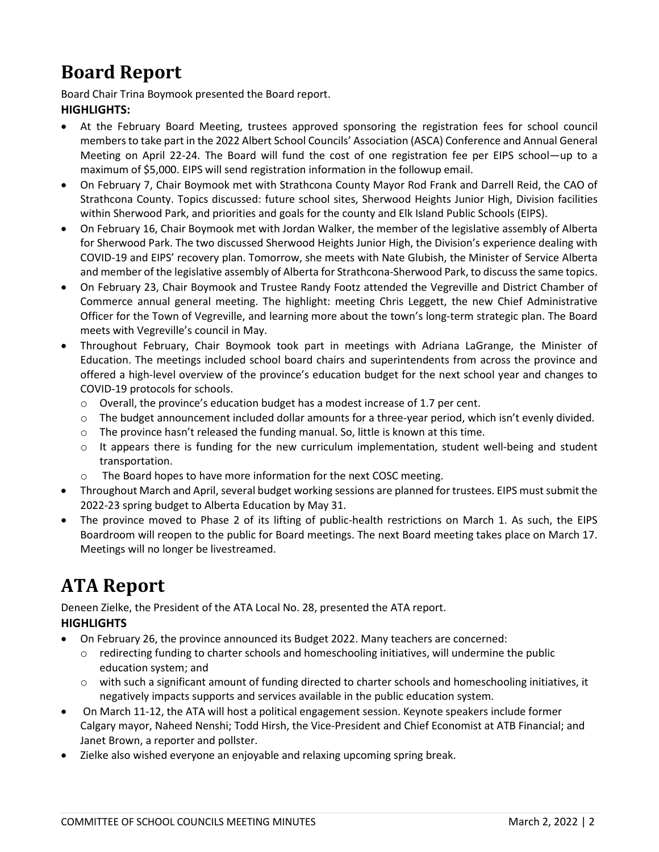# **Board Report**

Board Chair Trina Boymook presented the Board report. **HIGHLIGHTS:**

- At the February Board Meeting, trustees approved sponsoring the registration fees for school council members to take part in the 2022 Albert School Councils' Association (ASCA) Conference and Annual General Meeting on April 22-24. The Board will fund the cost of one registration fee per EIPS school—up to a maximum of \$5,000. EIPS will send registration information in the followup email.
- On February 7, Chair Boymook met with Strathcona County Mayor Rod Frank and Darrell Reid, the CAO of Strathcona County. Topics discussed: future school sites, Sherwood Heights Junior High, Division facilities within Sherwood Park, and priorities and goals for the county and Elk Island Public Schools (EIPS).
- On February 16, Chair Boymook met with Jordan Walker, the member of the legislative assembly of Alberta for Sherwood Park. The two discussed Sherwood Heights Junior High, the Division's experience dealing with COVID-19 and EIPS' recovery plan. Tomorrow, she meets with Nate Glubish, the Minister of Service Alberta and member of the legislative assembly of Alberta for Strathcona-Sherwood Park, to discuss the same topics.
- On February 23, Chair Boymook and Trustee Randy Footz attended the Vegreville and District Chamber of Commerce annual general meeting. The highlight: meeting Chris Leggett, the new Chief Administrative Officer for the Town of Vegreville, and learning more about the town's long-term strategic plan. The Board meets with Vegreville's council in May.
- Throughout February, Chair Boymook took part in meetings with Adriana LaGrange, the Minister of Education. The meetings included school board chairs and superintendents from across the province and offered a high-level overview of the province's education budget for the next school year and changes to COVID-19 protocols for schools.
	- $\circ$  Overall, the province's education budget has a modest increase of 1.7 per cent.
	- o The budget announcement included dollar amounts for a three-year period, which isn't evenly divided.
	- $\circ$  The province hasn't released the funding manual. So, little is known at this time.
	- $\circ$  It appears there is funding for the new curriculum implementation, student well-being and student transportation.
	- o The Board hopes to have more information for the next COSC meeting.
- Throughout March and April, several budget working sessions are planned for trustees. EIPS must submit the 2022-23 spring budget to Alberta Education by May 31.
- The province moved to Phase 2 of its lifting of public-health restrictions on March 1. As such, the EIPS Boardroom will reopen to the public for Board meetings. The next Board meeting takes place on March 17. Meetings will no longer be livestreamed.

# **ATA Report**

Deneen Zielke, the President of the ATA Local No. 28, presented the ATA report. **HIGHLIGHTS**

- On February 26, the province announced its Budget 2022. Many teachers are concerned:
	- $\circ$  redirecting funding to charter schools and homeschooling initiatives, will undermine the public education system; and
	- o with such a significant amount of funding directed to charter schools and homeschooling initiatives, it negatively impacts supports and services available in the public education system.
- On March 11-12, the ATA will host a political engagement session. Keynote speakers include former Calgary mayor, Naheed Nenshi; Todd Hirsh, the Vice-President and Chief Economist at ATB Financial; and Janet Brown, a reporter and pollster.
- Zielke also wished everyone an enjoyable and relaxing upcoming spring break.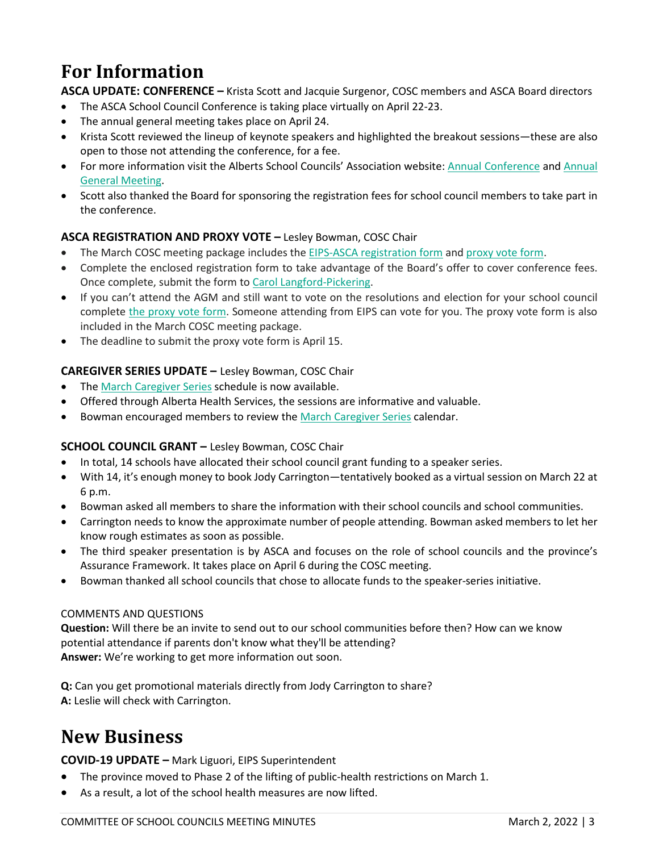# **For Information**

**ASCA UPDATE: CONFERENCE –** Krista Scott and Jacquie Surgenor, COSC members and ASCA Board directors

- The ASCA School Council Conference is taking place virtually on April 22-23.
- The annual general meeting takes place on April 24.
- Krista Scott reviewed the lineup of keynote speakers and highlighted the breakout sessions—these are also open to those not attending the conference, for a fee.
- For more information visit the Alberts School Councils' Association website: [Annual Conference](https://www.albertaschoolcouncils.ca/about/annual-conference) and [Annual](https://www.albertaschoolcouncils.ca/about/annual-general-meeting)  [General Meeting.](https://www.albertaschoolcouncils.ca/about/annual-general-meeting)
- Scott also thanked the Board for sponsoring the registration fees for school council members to take part in the conference.

### **ASCA REGISTRATION AND PROXY VOTE –** Lesley Bowman, COSC Chair

- The March COSC meeting package includes the EIPS-ASCA [registration form](https://www.eips.ca/download/384345) and [proxy vote form.](https://www.albertaschoolcouncils.ca/public/download/files/199611)
- Complete the enclosed registration form to take advantage of the Board's offer to cover conference fees. Once complete, submit the form to [Carol Langford-Pickering.](mailto:carol.langford-pickering@eips.ca?subject=ASCA%20Conference%20Registration)
- If you can't attend the AGM and still want to vote on the resolutions and election for your school council complete [the proxy vote form.](https://www.albertaschoolcouncils.ca/public/download/files/199611) Someone attending from EIPS can vote for you. The proxy vote form is also included in the March COSC meeting package.
- The deadline to submit the proxy vote form is April 15.

### **CAREGIVER SERIES UPDATE –** Lesley Bowman, COSC Chair

- The March [Caregiver Series](https://www.cyfcaregivereducation.ca/home) schedule is now available.
- Offered through Alberta Health Services, the sessions are informative and valuable.
- Bowman encouraged members to review the March [Caregiver Series](https://www.cyfcaregivereducation.ca/home) calendar.

### **SCHOOL COUNCIL GRANT –** Lesley Bowman, COSC Chair

- In total, 14 schools have allocated their school council grant funding to a speaker series.
- With 14, it's enough money to book Jody Carrington—tentatively booked as a virtual session on March 22 at 6 p.m.
- Bowman asked all members to share the information with their school councils and school communities.
- Carrington needs to know the approximate number of people attending. Bowman asked members to let her know rough estimates as soon as possible.
- The third speaker presentation is by ASCA and focuses on the role of school councils and the province's Assurance Framework. It takes place on April 6 during the COSC meeting.
- Bowman thanked all school councils that chose to allocate funds to the speaker-series initiative.

#### COMMENTS AND QUESTIONS

**Question:** Will there be an invite to send out to our school communities before then? How can we know potential attendance if parents don't know what they'll be attending? **Answer:** We're working to get more information out soon.

**Q:** Can you get promotional materials directly from Jody Carrington to share? **A:** Leslie will check with Carrington.

# **New Business**

**COVID-19 UPDATE –** Mark Liguori, EIPS Superintendent

- The province moved to Phase 2 of the lifting of public-health restrictions on March 1.
- As a result, a lot of the school health measures are now lifted.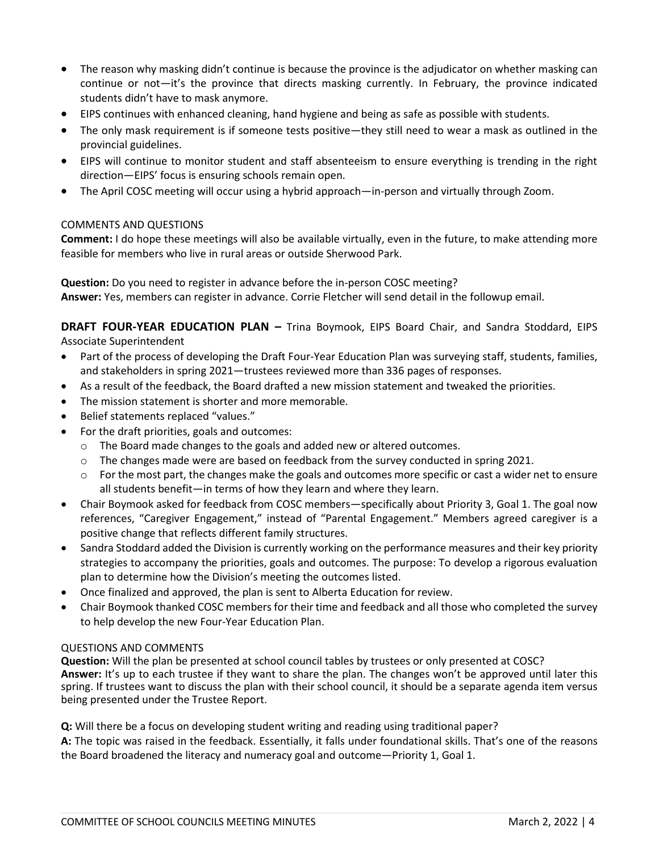- The reason why masking didn't continue is because the province is the adjudicator on whether masking can continue or not—it's the province that directs masking currently. In February, the province indicated students didn't have to mask anymore.
- EIPS continues with enhanced cleaning, hand hygiene and being as safe as possible with students.
- The only mask requirement is if someone tests positive—they still need to wear a mask as outlined in the provincial guidelines.
- EIPS will continue to monitor student and staff absenteeism to ensure everything is trending in the right direction—EIPS' focus is ensuring schools remain open.
- The April COSC meeting will occur using a hybrid approach—in-person and virtually through Zoom.

#### COMMENTS AND QUESTIONS

**Comment:** I do hope these meetings will also be available virtually, even in the future, to make attending more feasible for members who live in rural areas or outside Sherwood Park.

**Question:** Do you need to register in advance before the in-person COSC meeting? **Answer:** Yes, members can register in advance. Corrie Fletcher will send detail in the followup email.

**DRAFT FOUR-YEAR EDUCATION PLAN –** Trina Boymook, EIPS Board Chair, and Sandra Stoddard, EIPS Associate Superintendent

- Part of the process of developing the Draft Four-Year Education Plan was surveying staff, students, families, and stakeholders in spring 2021—trustees reviewed more than 336 pages of responses.
- As a result of the feedback, the Board drafted a new mission statement and tweaked the priorities.
- The mission statement is shorter and more memorable.
- Belief statements replaced "values."
- For the draft priorities, goals and outcomes:
	- $\circ$  The Board made changes to the goals and added new or altered outcomes.
	- $\circ$  The changes made were are based on feedback from the survey conducted in spring 2021.
	- o For the most part, the changes make the goals and outcomes more specific or cast a wider net to ensure all students benefit—in terms of how they learn and where they learn.
- Chair Boymook asked for feedback from COSC members—specifically about Priority 3, Goal 1. The goal now references, "Caregiver Engagement," instead of "Parental Engagement." Members agreed caregiver is a positive change that reflects different family structures.
- Sandra Stoddard added the Division is currently working on the performance measures and their key priority strategies to accompany the priorities, goals and outcomes. The purpose: To develop a rigorous evaluation plan to determine how the Division's meeting the outcomes listed.
- Once finalized and approved, the plan is sent to Alberta Education for review.
- Chair Boymook thanked COSC members for their time and feedback and all those who completed the survey to help develop the new Four-Year Education Plan.

#### QUESTIONS AND COMMENTS

**Question:** Will the plan be presented at school council tables by trustees or only presented at COSC? **Answer:** It's up to each trustee if they want to share the plan. The changes won't be approved until later this spring. If trustees want to discuss the plan with their school council, it should be a separate agenda item versus being presented under the Trustee Report.

**Q:** Will there be a focus on developing student writing and reading using traditional paper?

**A:** The topic was raised in the feedback. Essentially, it falls under foundational skills. That's one of the reasons the Board broadened the literacy and numeracy goal and outcome—Priority 1, Goal 1.